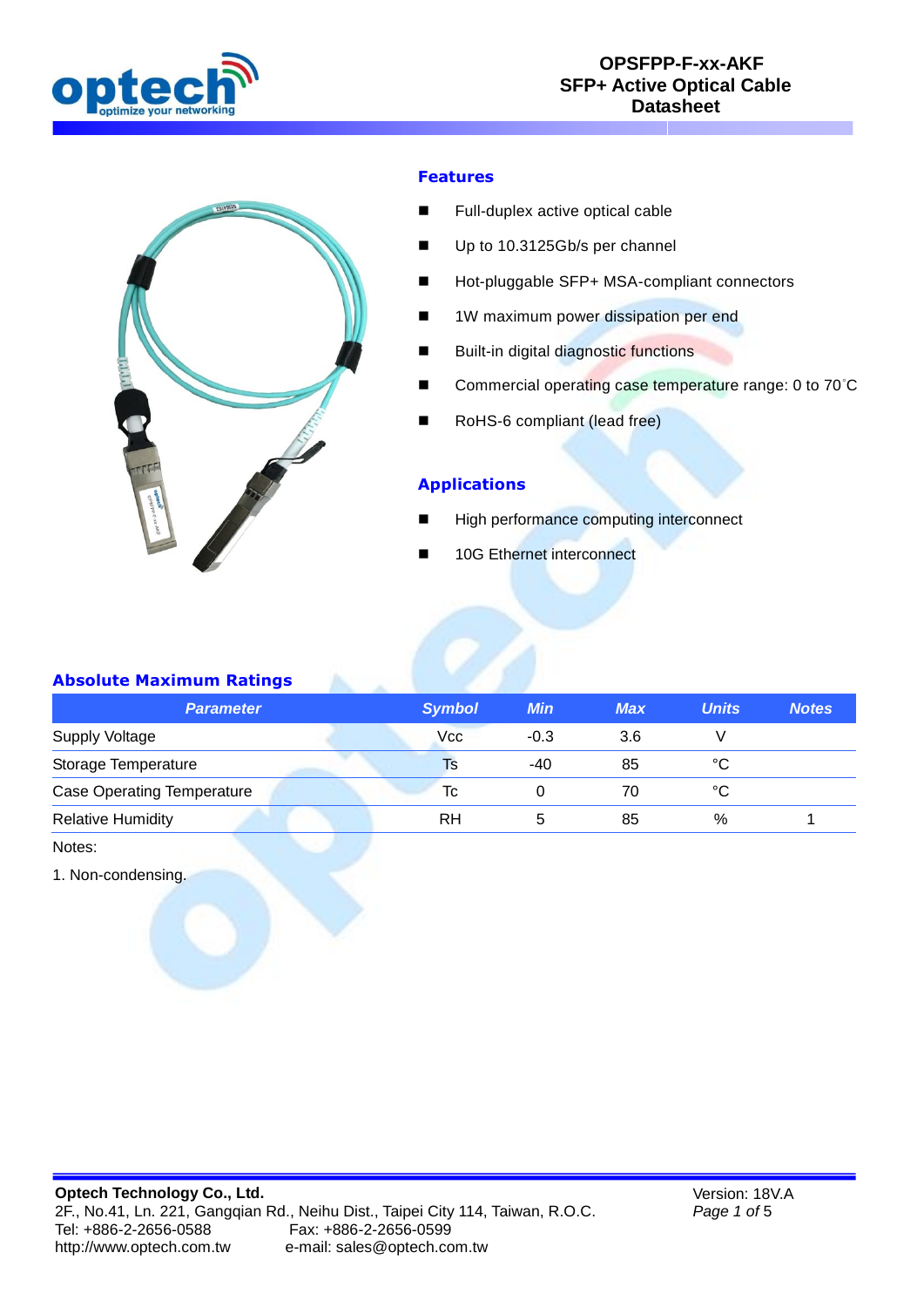



## **Features**

- **Full-duplex active optical cable**
- Up to 10.3125Gb/s per channel
- Hot-pluggable SFP+ MSA-compliant connectors
- 1W maximum power dissipation per end
- **Built-in digital diagnostic functions**
- Commercial operating case temperature range: 0 to 70°C
- RoHS-6 compliant (lead free)

#### **Applications**

- High performance computing interconnect
- 10G Ethernet interconnect

## **Absolute Maximum Ratings**

| <b>Parameter</b>                  | <b>Symbol</b> | <b>Min</b> | <b>Max</b> | <b>Units</b> | <b>Notes</b> |
|-----------------------------------|---------------|------------|------------|--------------|--------------|
| <b>Supply Voltage</b>             | Vcc           | $-0.3$     | 3.6        |              |              |
| Storage Temperature               | Is            | -40        | 85         | °C           |              |
| <b>Case Operating Temperature</b> | Tc            |            | 70         | °C           |              |
| <b>Relative Humidity</b>          | RH            |            | 85         | %            |              |

Notes:

1. Non-condensing.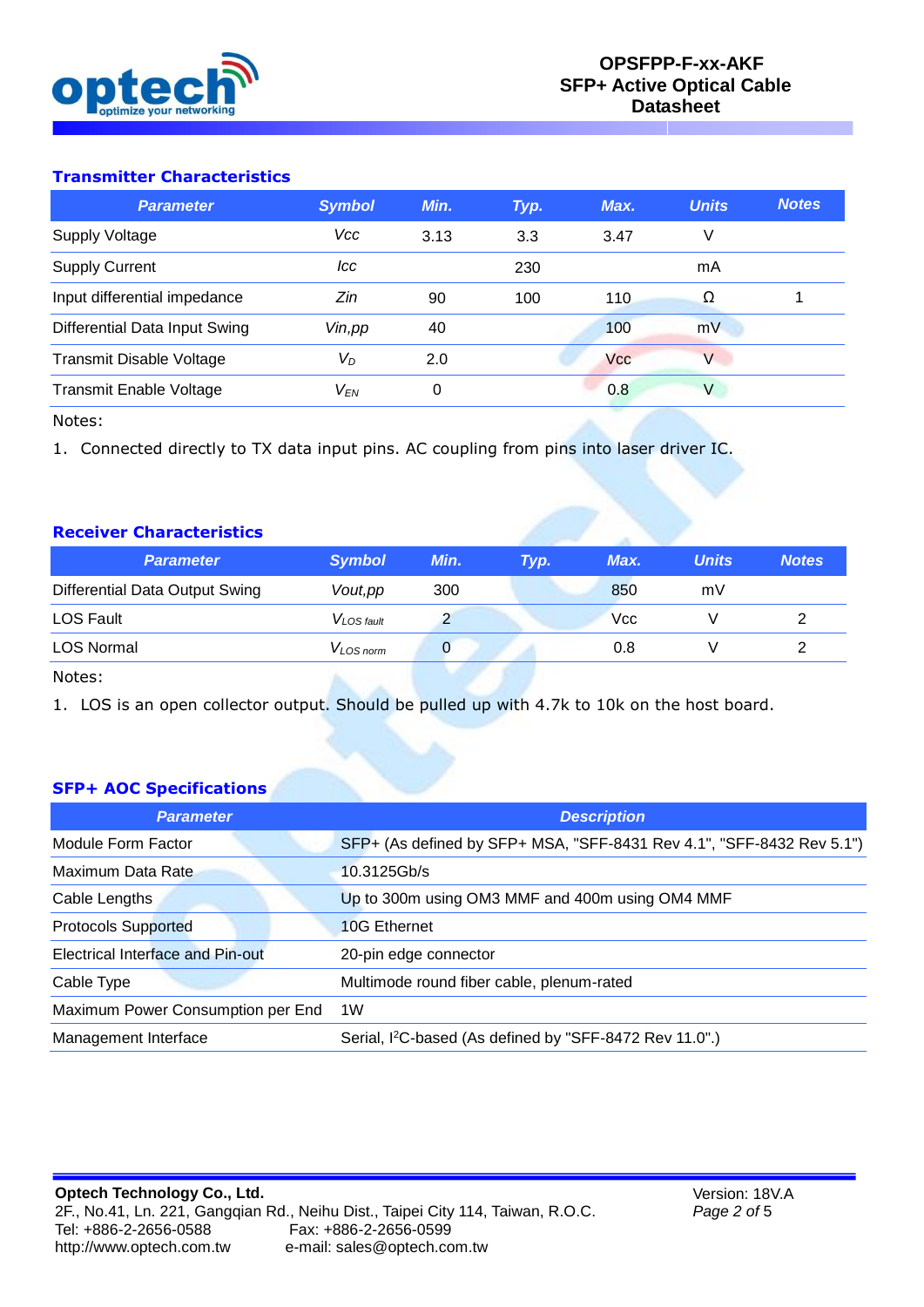

# **Transmitter Characteristics**

| <b>Parameter</b>                | <b>Symbol</b> | Min. | Typ. | Max. | <b>Units</b> | <b>Notes</b> |
|---------------------------------|---------------|------|------|------|--------------|--------------|
| <b>Supply Voltage</b>           | <b>Vcc</b>    | 3.13 | 3.3  | 3.47 |              |              |
| <b>Supply Current</b>           | lcc           |      | 230  |      | mA           |              |
| Input differential impedance    | Zin           | 90   | 100  | 110  | Ω            |              |
| Differential Data Input Swing   | Vin, pp       | 40   |      | 100  | mV           |              |
| <b>Transmit Disable Voltage</b> | $V_D$         | 2.0  |      | Vcc  | $\vee$       |              |
| <b>Transmit Enable Voltage</b>  | $V_{EN}$      | 0    |      | 0.8  | V            |              |

Notes:

1. Connected directly to TX data input pins. AC coupling from pins into laser driver IC.

## **Receiver Characteristics**

| <b>Parameter</b>               | <b>Symbol</b>         | Min. | Typ. | Max. | <b>Units</b> | <b>Notes</b> |
|--------------------------------|-----------------------|------|------|------|--------------|--------------|
| Differential Data Output Swing | Vout, pp              | 300  |      | 850  | mV           |              |
| LOS Fault                      | $V_{LOS \, fault}$    |      |      | Vcc  |              |              |
| <b>LOS Normal</b>              | V <sub>LOS norm</sub> |      |      | 0.8  |              |              |
| Notes:                         |                       |      |      |      |              |              |

1. LOS is an open collector output. Should be pulled up with 4.7k to 10k on the host board.

## **SFP+ AOC Specifications**

| <b>Parameter</b>                  | <b>Description</b>                                                    |
|-----------------------------------|-----------------------------------------------------------------------|
| Module Form Factor                | SFP+ (As defined by SFP+ MSA, "SFF-8431 Rev 4.1", "SFF-8432 Rev 5.1") |
| Maximum Data Rate                 | $10.3125$ Gb/s                                                        |
| Cable Lengths                     | Up to 300m using OM3 MMF and 400m using OM4 MMF                       |
| <b>Protocols Supported</b>        | 10G Ethernet                                                          |
| Electrical Interface and Pin-out  | 20-pin edge connector                                                 |
| Cable Type                        | Multimode round fiber cable, plenum-rated                             |
| Maximum Power Consumption per End | 1W                                                                    |
| Management Interface              | Serial, I <sup>2</sup> C-based (As defined by "SFF-8472 Rev 11.0".)   |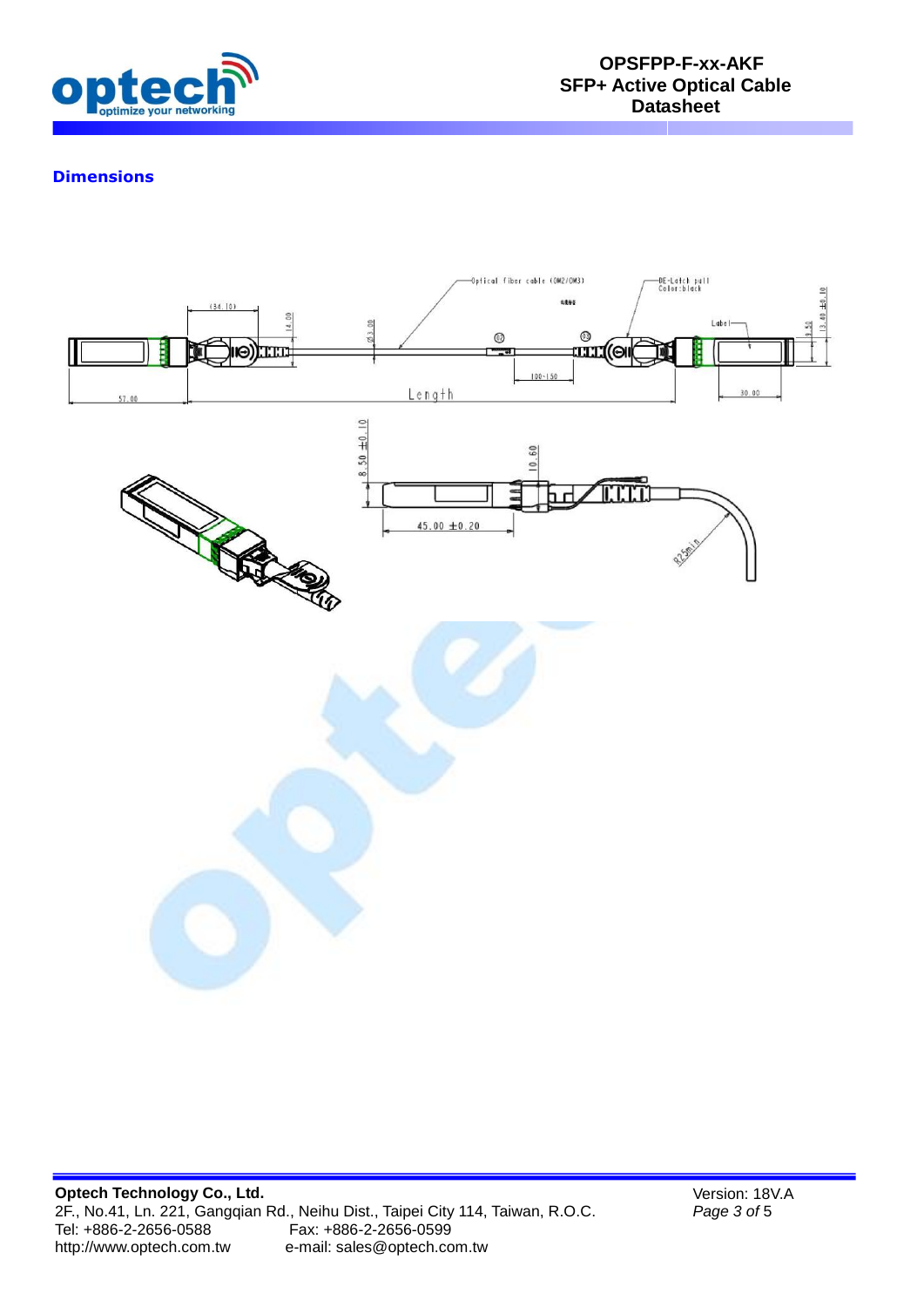

# **Dimensions**



Version: 18V.A *Page 3 of* 5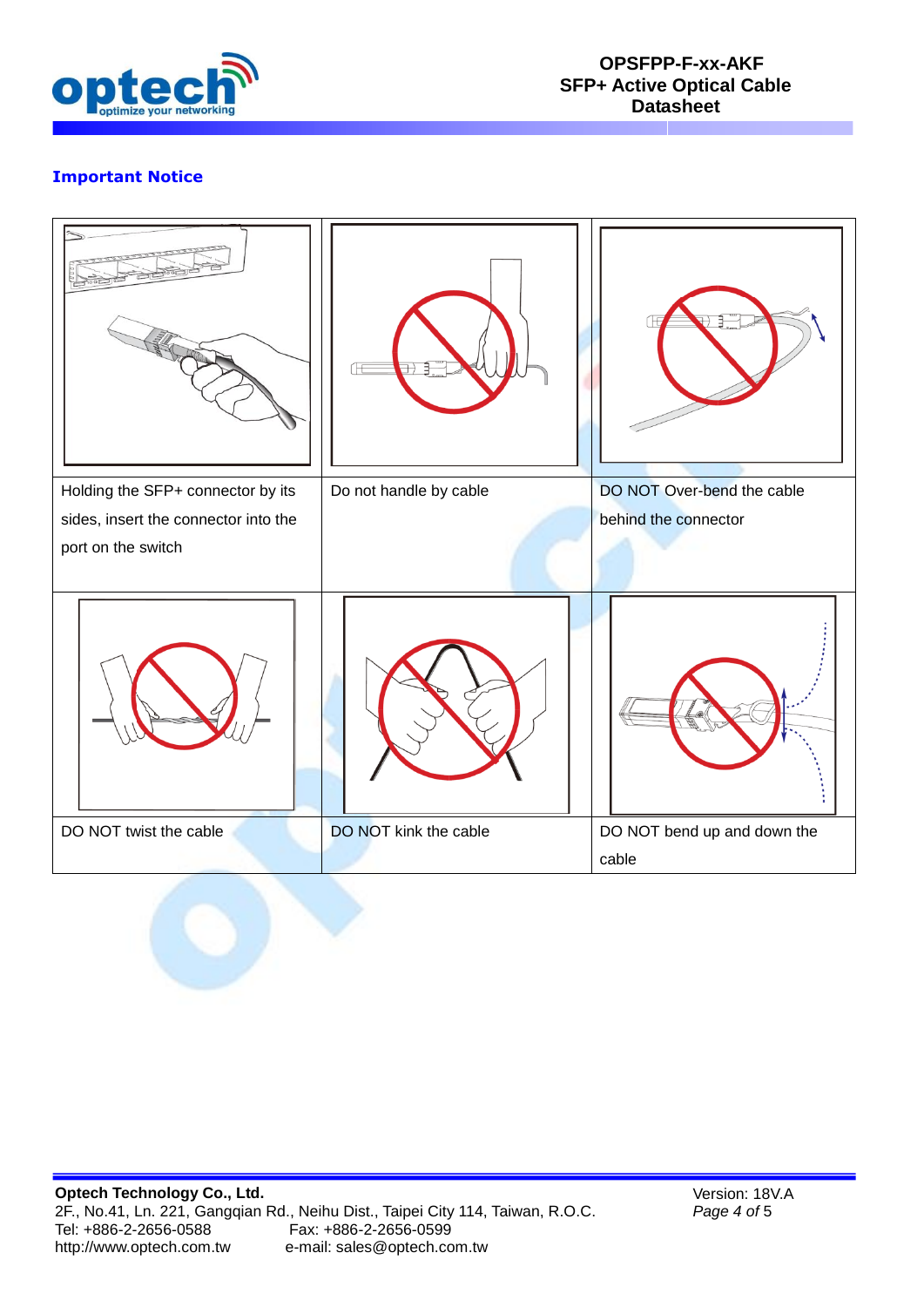

# **Important Notice**